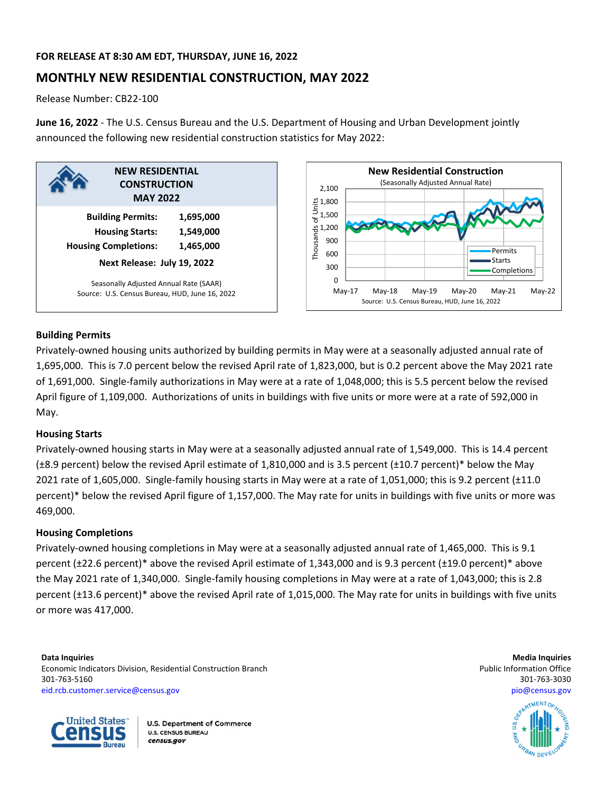# **FOR RELEASE AT 8:30 AM EDT, THURSDAY, JUNE 16, 2022**

# **MONTHLY NEW RESIDENTIAL CONSTRUCTION, MAY 2022**

Release Number: CB22‐100

**June 16, 2022** ‐ The U.S. Census Bureau and the U.S. Department of Housing and Urban Development jointly announced the following new residential construction statistics for May 2022:





# **Building Permits**

Privately‐owned housing units authorized by building permits in May were at a seasonally adjusted annual rate of 1,695,000. This is 7.0 percent below the revised April rate of 1,823,000, but is 0.2 percent above the May 2021 rate of 1,691,000. Single‐family authorizations in May were at a rate of 1,048,000; this is 5.5 percent below the revised April figure of 1,109,000. Authorizations of units in buildings with five units or more were at a rate of 592,000 in May.

# **Housing Starts**

Privately‐owned housing starts in May were at a seasonally adjusted annual rate of 1,549,000. This is 14.4 percent (±8.9 percent) below the revised April estimate of 1,810,000 and is 3.5 percent (±10.7 percent)\* below the May 2021 rate of 1,605,000. Single‐family housing starts in May were at a rate of 1,051,000; this is 9.2 percent (±11.0 percent)\* below the revised April figure of 1,157,000. The May rate for units in buildings with five units or more was 469,000.

# **Housing Completions**

Privately‐owned housing completions in May were at a seasonally adjusted annual rate of 1,465,000. This is 9.1 percent (±22.6 percent)\* above the revised April estimate of 1,343,000 and is 9.3 percent (±19.0 percent)\* above the May 2021 rate of 1,340,000. Single‐family housing completions in May were at a rate of 1,043,000; this is 2.8 percent (±13.6 percent)\* above the revised April rate of 1,015,000. The May rate for units in buildings with five units or more was 417,000.

**Data Inquiries Media Inquiries** Economic Indicators Division, Residential Construction Branch **Public Information Construction Branch** Public Information Office 301‐763‐5160 301‐763‐3030 eid.rcb.customer.service@census.gov pio@census.gov



**U.S. Department of Commerce U.S. CENSUS BUREAU** census.gov

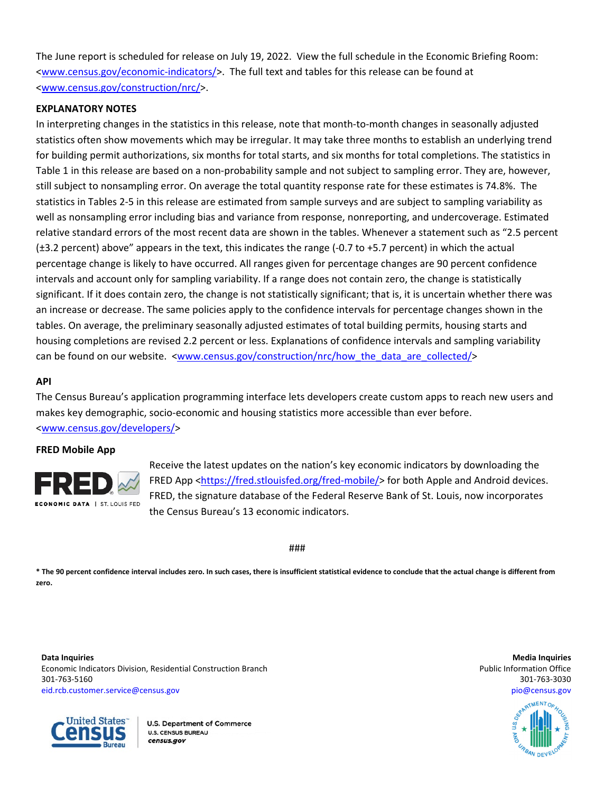The June report is scheduled for release on July 19, 2022. View the full schedule in the Economic Briefing Room: <www.census.gov/economic‐indicators/>. The full text and tables for this release can be found at <www.census.gov/construction/nrc/>.

## **EXPLANATORY NOTES**

In interpreting changes in the statistics in this release, note that month-to-month changes in seasonally adjusted statistics often show movements which may be irregular. It may take three months to establish an underlying trend for building permit authorizations, six months for total starts, and six months for total completions. The statistics in Table 1 in this release are based on a non-probability sample and not subject to sampling error. They are, however, still subject to nonsampling error. On average the total quantity response rate for these estimates is 74.8%. The statistics in Tables 2‐5 in this release are estimated from sample surveys and are subject to sampling variability as well as nonsampling error including bias and variance from response, nonreporting, and undercoverage. Estimated relative standard errors of the most recent data are shown in the tables. Whenever a statement such as "2.5 percent (±3.2 percent) above" appears in the text, this indicates the range (‐0.7 to +5.7 percent) in which the actual percentage change is likely to have occurred. All ranges given for percentage changes are 90 percent confidence intervals and account only for sampling variability. If a range does not contain zero, the change is statistically significant. If it does contain zero, the change is not statistically significant; that is, it is uncertain whether there was an increase or decrease. The same policies apply to the confidence intervals for percentage changes shown in the tables. On average, the preliminary seasonally adjusted estimates of total building permits, housing starts and housing completions are revised 2.2 percent or less. Explanations of confidence intervals and sampling variability can be found on our website. <www.census.gov/construction/nrc/how\_the\_data\_are\_collected/>

### **API**

The Census Bureau's application programming interface lets developers create custom apps to reach new users and makes key demographic, socio‐economic and housing statistics more accessible than ever before. <www.census.gov/developers/>

### **FRED Mobile App**



Receive the latest updates on the nation's key economic indicators by downloading the FRED App <https://fred.stlouisfed.org/fred-mobile/> for both Apple and Android devices. FRED, the signature database of the Federal Reserve Bank of St. Louis, now incorporates the Census Bureau's 13 economic indicators.

###

\* The 90 percent confidence interval includes zero. In such cases, there is insufficient statistical evidence to conclude that the actual change is different from **zero.**

**Data Inquiries Media Inquiries** Economic Indicators Division, Residential Construction Branch **Public Information Construction Branch** Public Information Office 301‐763‐5160 301‐763‐3030 eid.rcb.customer.service@census.gov pio@census.gov



**U.S. Department of Commerce U.S. CENSUS BUREAU** census.gov

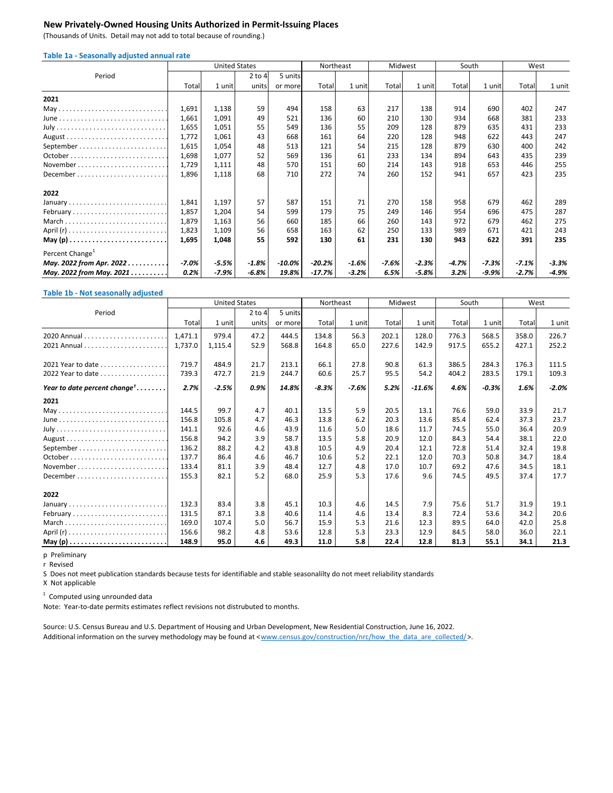### **New Privately‐Owned Housing Units Authorized in Permit‐Issuing Places**

(Thousands of Units. Detail may not add to total because of rounding.)

| Table 1a - Seasonally adjusted annual rate |  |  |  |
|--------------------------------------------|--|--|--|
|--------------------------------------------|--|--|--|

|                             | <b>United States</b> |         |            | Northeast |        | Midwest  |       | South   |         | West    |         |         |
|-----------------------------|----------------------|---------|------------|-----------|--------|----------|-------|---------|---------|---------|---------|---------|
| Period                      |                      |         | $2$ to $4$ | 5 units   |        |          |       |         |         |         |         |         |
|                             | Total                | 1 unit  | units      | or more   | Total  | 1 unit   | Total | 1 unit  | Total   | 1 unit  | Total   | 1 unit  |
| 2021                        |                      |         |            |           |        |          |       |         |         |         |         |         |
|                             | 1,691                | 1,138   | 59         | 494       | 158    | 63       | 217   | 138     | 914     | 690     | 402     | 247     |
|                             | 1,661                | 1,091   | 49         | 521       | 136    | 60       | 210   | 130     | 934     | 668     | 381     | 233     |
|                             | 1,655                | 1,051   | 55         | 549       | 136    | 55       | 209   | 128     | 879     | 635     | 431     | 233     |
|                             | 1,772                | 1,061   | 43         | 668       | 161    | 64       | 220   | 128     | 948     | 622     | 443     | 247     |
|                             | 1,615                | 1,054   | 48         | 513       | 121    | 54       | 215   | 128     | 879     | 630     | 400     | 242     |
|                             | 1,698                | 1,077   | 52         | 569       | 136    | 61       | 233   | 134     | 894     | 643     | 435     | 239     |
| November                    | 1,729                | 1,111   | 48         | 570       | 151    | 60       | 214   | 143     | 918     | 653     | 446     | 255     |
| December                    | 1,896                | 1,118   | 68         | 710       | 272    | 74       | 260   | 152     | 941     | 657     | 423     | 235     |
| 2022                        |                      |         |            |           |        |          |       |         |         |         |         |         |
| January                     | 1,841                | 1,197   | 57         | 587       | 151    | 71       | 270   | 158     | 958     | 679     | 462     | 289     |
| February                    | 1,857                | 1,204   | 54         | 599       | 179    | 75       | 249   | 146     | 954     | 696     | 475     | 287     |
| March                       | 1,879                | 1,163   | 56         | 660       | 185    | 66       | 260   | 143     | 972     | 679     | 462     | 275     |
|                             | 1,823                | 1,109   | 56         | 658       | 163    | 62       | 250   | 133     | 989     | 671     | 421     | 243     |
|                             | 1,695                | 1,048   | 55         | 592       | 130    | 61       | 231   | 130     | 943     | 622     | 391     | 235     |
| Percent Change <sup>+</sup> |                      |         |            |           |        |          |       |         |         |         |         |         |
| May. 2022 from Apr. 2022    | $-7.0%$              | $-5.5%$ | $-1.8%$    | $-10.0\%$ | -20.2% | $-1.6\%$ | -7.6% | $-2.3%$ | $-4.7%$ | -7.3%   | $-7.1%$ | $-3.3%$ |
| May. 2022 from May. 2021    | 0.2%                 | -7.9%   | -6.8%      | 19.8%     | -17.7% | $-3.2%$  | 6.5%  | $-5.8%$ | 3.2%    | $-9.9%$ | $-2.7%$ | -4.9%   |

#### **Table 1b ‐ Not seasonally adjusted**

|                                          | <b>United States</b> |         |            | Northeast |         | Midwest |       | South    |       |         | West  |         |
|------------------------------------------|----------------------|---------|------------|-----------|---------|---------|-------|----------|-------|---------|-------|---------|
| Period                                   |                      |         | $2$ to $4$ | 5 units   |         |         |       |          |       |         |       |         |
|                                          | Total                | 1 unit  | units      | or more   | Total   | 1 unit  | Total | 1 unit   | Total | 1 unit  | Total | 1 unit  |
|                                          | 1,471.1              | 979.4   | 47.2       | 444.5     | 134.8   | 56.3    | 202.1 | 128.0    | 776.3 | 568.5   | 358.0 | 226.7   |
|                                          | 1,737.0              | 1,115.4 | 52.9       | 568.8     | 164.8   | 65.0    | 227.6 | 142.9    | 917.5 | 655.2   | 427.1 | 252.2   |
| 2021 Year to date                        | 719.7                | 484.9   | 21.7       | 213.1     | 66.1    | 27.8    | 90.8  | 61.3     | 386.5 | 284.3   | 176.3 | 111.5   |
| 2022 Year to date                        | 739.3                | 472.7   | 21.9       | 244.7     | 60.6    | 25.7    | 95.5  | 54.2     | 404.2 | 283.5   | 179.1 | 109.3   |
| Year to date percent change <sup>1</sup> | 2.7%                 | $-2.5%$ | 0.9%       | 14.8%     | $-8.3%$ | $-7.6%$ | 5.2%  | $-11.6%$ | 4.6%  | $-0.3%$ | 1.6%  | $-2.0%$ |
| 2021                                     |                      |         |            |           |         |         |       |          |       |         |       |         |
|                                          | 144.5                | 99.7    | 4.7        | 40.1      | 13.5    | 5.9     | 20.5  | 13.1     | 76.6  | 59.0    | 33.9  | 21.7    |
|                                          | 156.8                | 105.8   | 4.7        | 46.3      | 13.8    | 6.2     | 20.3  | 13.6     | 85.4  | 62.4    | 37.3  | 23.7    |
|                                          | 141.1                | 92.6    | 4.6        | 43.9      | 11.6    | 5.0     | 18.6  | 11.7     | 74.5  | 55.0    | 36.4  | 20.9    |
|                                          | 156.8                | 94.2    | 3.9        | 58.7      | 13.5    | 5.8     | 20.9  | 12.0     | 84.3  | 54.4    | 38.1  | 22.0    |
|                                          | 136.2                | 88.2    | 4.2        | 43.8      | 10.5    | 4.9     | 20.4  | 12.1     | 72.8  | 51.4    | 32.4  | 19.8    |
|                                          | 137.7                | 86.4    | 4.6        | 46.7      | 10.6    | 5.2     | 22.1  | 12.0     | 70.3  | 50.8    | 34.7  | 18.4    |
|                                          | 133.4                | 81.1    | 3.9        | 48.4      | 12.7    | 4.8     | 17.0  | 10.7     | 69.2  | 47.6    | 34.5  | 18.1    |
|                                          | 155.3                | 82.1    | 5.2        | 68.0      | 25.9    | 5.3     | 17.6  | 9.6      | 74.5  | 49.5    | 37.4  | 17.7    |
| 2022                                     |                      |         |            |           |         |         |       |          |       |         |       |         |
|                                          | 132.3                | 83.4    | 3.8        | 45.1      | 10.3    | 4.6     | 14.5  | 7.9      | 75.6  | 51.7    | 31.9  | 19.1    |
| February                                 | 131.5                | 87.1    | 3.8        | 40.6      | 11.4    | 4.6     | 13.4  | 8.3      | 72.4  | 53.6    | 34.2  | 20.6    |
| March                                    | 169.0                | 107.4   | 5.0        | 56.7      | 15.9    | 5.3     | 21.6  | 12.3     | 89.5  | 64.0    | 42.0  | 25.8    |
|                                          | 156.6                | 98.2    | 4.8        | 53.6      | 12.8    | 5.3     | 23.3  | 12.9     | 84.5  | 58.0    | 36.0  | 22.1    |
|                                          | 148.9                | 95.0    | 4.6        | 49.3      | 11.0    | 5.8     | 22.4  | 12.8     | 81.3  | 55.1    | 34.1  | 21.3    |

p Preliminary

r Revised

S Does not meet publication standards because tests for identifiable and stable seasonalilty do not meet reliability standards

X Not applicable

 $1$  Computed using unrounded data

Note: Year‐to‐date permits estimates reflect revisions not distrubuted to months.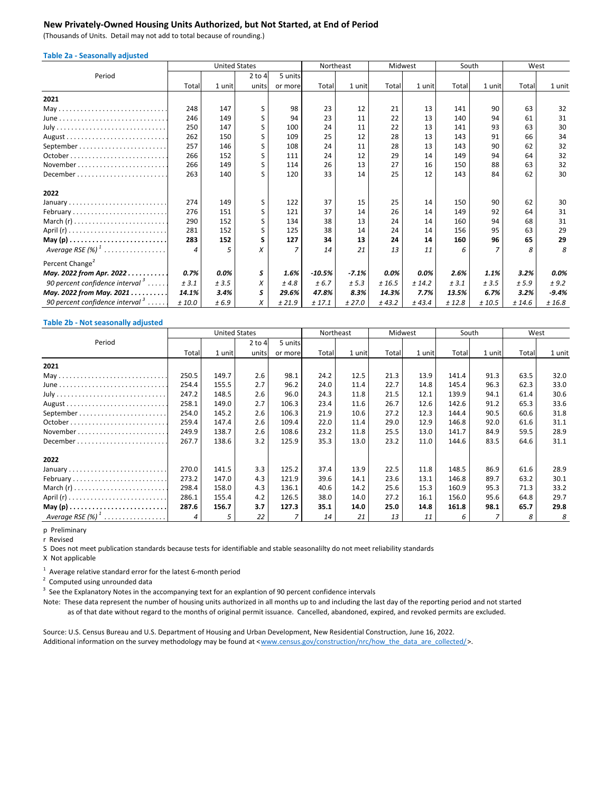# **New Privately‐Owned Housing Units Authorized, but Not Started, at End of Period**

(Thousands of Units. Detail may not add to total because of rounding.)

| <b>Table 2a - Seasonally adjusted</b>       |          |                      |          |                |           |         |         |        |        |        |        |         |
|---------------------------------------------|----------|----------------------|----------|----------------|-----------|---------|---------|--------|--------|--------|--------|---------|
|                                             |          | <b>United States</b> |          |                | Northeast |         | Midwest |        |        | South  | West   |         |
| Period                                      |          |                      | $2$ to 4 | 5 units        |           |         |         |        |        |        |        |         |
|                                             | Total    | 1 unit               | units    | or more        | Total     | 1 unit  | Total   | 1 unit | Total  | 1 unit | Total  | 1 unit  |
| 2021                                        |          |                      |          |                |           |         |         |        |        |        |        |         |
|                                             | 248      | 147                  | S        | 98             | 23        | 12      | 21      | 13     | 141    | 90     | 63     | 32      |
| June                                        | 246      | 149                  | S        | 94             | 23        | 11      | 22      | 13     | 140    | 94     | 61     | 31      |
|                                             | 250      | 147                  | S        | 100            | 24        | 11      | 22      | 13     | 141    | 93     | 63     | 30      |
|                                             | 262      | 150                  | S        | 109            | 25        | 12      | 28      | 13     | 143    | 91     | 66     | 34      |
|                                             | 257      | 146                  | S        | 108            | 24        | 11      | 28      | 13     | 143    | 90     | 62     | 32      |
|                                             | 266      | 152                  | S        | 111            | 24        | 12      | 29      | 14     | 149    | 94     | 64     | 32      |
| November                                    | 266      | 149                  | S        | 114            | 26        | 13      | 27      | 16     | 150    | 88     | 63     | 32      |
|                                             | 263      | 140                  | ς        | 120            | 33        | 14      | 25      | 12     | 143    | 84     | 62     | 30      |
| 2022                                        |          |                      |          |                |           |         |         |        |        |        |        |         |
| January                                     | 274      | 149                  | S        | 122            | 37        | 15      | 25      | 14     | 150    | 90     | 62     | 30      |
| February                                    | 276      | 151                  | S        | 121            | 37        | 14      | 26      | 14     | 149    | 92     | 64     | 31      |
|                                             | 290      | 152                  | S        | 134            | 38        | 13      | 24      | 14     | 160    | 94     | 68     | 31      |
|                                             | 281      | 152                  | S        | 125            | 38        | 14      | 24      | 14     | 156    | 95     | 63     | 29      |
|                                             | 283      | 152                  | s        | 127            | 34        | 13      | 24      | 14     | 160    | 96     | 65     | 29      |
| Average RSE $(\%)$ <sup>1</sup>             | $\Delta$ | 5                    | X        | $\overline{7}$ | 14        | 21      | 13      | 11     | 6      | 7      | 8      | 8       |
| Percent Change <sup>2</sup>                 |          |                      |          |                |           |         |         |        |        |        |        |         |
| May. 2022 from Apr. 2022                    | 0.7%     | 0.0%                 | S        | 1.6%           | $-10.5%$  | $-7.1%$ | $0.0\%$ | 0.0%   | 2.6%   | 1.1%   | 3.2%   | 0.0%    |
| 90 percent confidence interval $3 \ldots$ . | ± 3.1    | ± 3.5                | X        | ±4.8           | ± 6.7     | ± 5.3   | ± 16.5  | ± 14.2 | ± 3.1  | ± 3.5  | ± 5.9  | ± 9.2   |
| May. 2022 from May. 2021                    | 14.1%    | 3.4%                 | S        | 29.6%          | 47.8%     | 8.3%    | 14.3%   | 7.7%   | 13.5%  | 6.7%   | 3.2%   | $-9.4%$ |
| 90 percent confidence interval $\delta$     | ±10.0    | ±6.9                 | Х        | ± 21.9         | ± 17.1    | ± 27.0  | ± 43.2  | ± 43.4 | ± 12.8 | ± 10.5 | ± 14.6 | ± 16.8  |

#### **Table 2b ‐ Not seasonally adjusted**

|                      | <b>United States</b> |        |            |         | Northeast | Midwest |       |        | South |        | West  |        |
|----------------------|----------------------|--------|------------|---------|-----------|---------|-------|--------|-------|--------|-------|--------|
| Period               |                      |        | $2$ to $4$ | 5 units |           |         |       |        |       |        |       |        |
|                      | Total                | 1 unit | units      | or more | Total     | 1 unit  | Total | 1 unit | Total | 1 unit | Total | 1 unit |
| 2021                 |                      |        |            |         |           |         |       |        |       |        |       |        |
|                      | 250.5                | 149.7  | 2.6        | 98.1    | 24.2      | 12.5    | 21.3  | 13.9   | 141.4 | 91.3   | 63.5  | 32.0   |
|                      | 254.4                | 155.5  | 2.7        | 96.2    | 24.0      | 11.4    | 22.7  | 14.8   | 145.4 | 96.3   | 62.3  | 33.0   |
|                      | 247.2                | 148.5  | 2.6        | 96.0    | 24.3      | 11.8    | 21.5  | 12.1   | 139.9 | 94.1   | 61.4  | 30.6   |
|                      | 258.1                | 149.0  | 2.7        | 106.3   | 23.4      | 11.6    | 26.7  | 12.6   | 142.6 | 91.2   | 65.3  | 33.6   |
|                      | 254.0                | 145.2  | 2.6        | 106.3   | 21.9      | 10.6    | 27.2  | 12.3   | 144.4 | 90.5   | 60.6  | 31.8   |
|                      | 259.4                | 147.4  | 2.6        | 109.4   | 22.0      | 11.4    | 29.0  | 12.9   | 146.8 | 92.0   | 61.6  | 31.1   |
| November             | 249.9                | 138.7  | 2.6        | 108.6   | 23.2      | 11.8    | 25.5  | 13.0   | 141.7 | 84.9   | 59.5  | 28.9   |
| December             | 267.7                | 138.6  | 3.2        | 125.9   | 35.3      | 13.0    | 23.2  | 11.0   | 144.6 | 83.5   | 64.6  | 31.1   |
| 2022                 |                      |        |            |         |           |         |       |        |       |        |       |        |
| January              | 270.0                | 141.5  | 3.3        | 125.2   | 37.4      | 13.9    | 22.5  | 11.8   | 148.5 | 86.9   | 61.6  | 28.9   |
| February             | 273.2                | 147.0  | 4.3        | 121.9   | 39.6      | 14.1    | 23.6  | 13.1   | 146.8 | 89.7   | 63.2  | 30.1   |
| March $(r)$          | 298.4                | 158.0  | 4.3        | 136.1   | 40.6      | 14.2    | 25.6  | 15.3   | 160.9 | 95.3   | 71.3  | 33.2   |
|                      | 286.1                | 155.4  | 4.2        | 126.5   | 38.0      | 14.0    | 27.2  | 16.1   | 156.0 | 95.6   | 64.8  | 29.7   |
|                      | 287.6                | 156.7  | 3.7        | 127.3   | 35.1      | 14.0    | 25.0  | 14.8   | 161.8 | 98.1   | 65.7  | 29.8   |
| Average RSE $(\%)^1$ | 4                    | 5      | 22         |         | 14        | 21      | 13    | 11     | 6     | 7      |       | 8      |

p Preliminary

r Revised

S Does not meet publication standards because tests for identifiable and stable seasonalilty do not meet reliability standards

X Not applicable

 $1$  Average relative standard error for the latest 6-month period

 $2$  Computed using unrounded data

 $3$  See the Explanatory Notes in the accompanying text for an explantion of 90 percent confidence intervals

 as of that date without regard to the months of original permit issuance. Cancelled, abandoned, expired, and revoked permits are excluded. Note: These data represent the number of housing units authorized in all months up to and including the last day of the reporting period and not started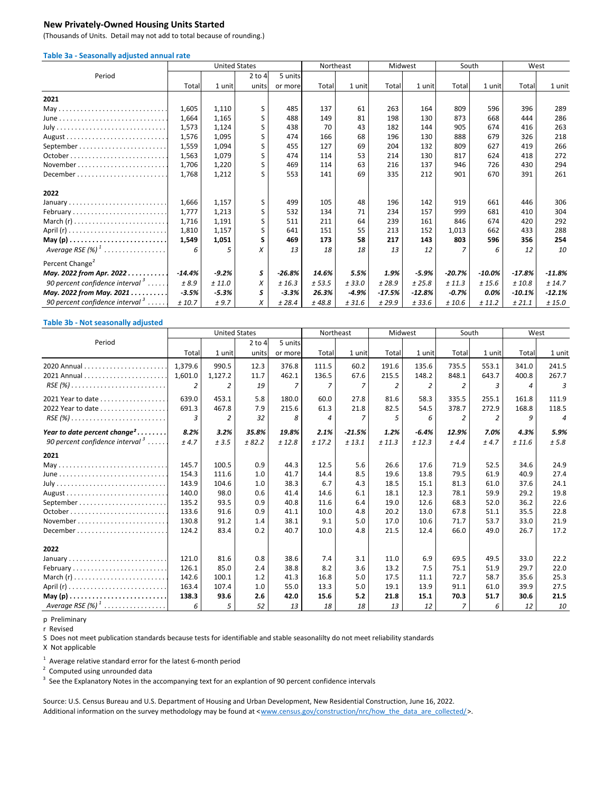### **New Privately‐Owned Housing Units Started**

(Thousands of Units. Detail may not add to total because of rounding.)

| Table 3a - Seasonally adjusted annual rate  |          |                      |          |          |           |         |          |          |          |           |          |          |
|---------------------------------------------|----------|----------------------|----------|----------|-----------|---------|----------|----------|----------|-----------|----------|----------|
|                                             |          | <b>United States</b> |          |          | Northeast |         | Midwest  |          | South    |           | West     |          |
| Period                                      |          |                      | $2$ to 4 | 5 units  |           |         |          |          |          |           |          |          |
|                                             | Total    | 1 unit               | units    | or more  | Total     | 1 unit  | Total    | 1 unit   | Total    | 1 unit    | Total    | 1 unit   |
| 2021                                        |          |                      |          |          |           |         |          |          |          |           |          |          |
|                                             | 1,605    | 1,110                | S        | 485      | 137       | 61      | 263      | 164      | 809      | 596       | 396      | 289      |
|                                             | 1,664    | 1,165                | S        | 488      | 149       | 81      | 198      | 130      | 873      | 668       | 444      | 286      |
|                                             | 1,573    | 1,124                | S        | 438      | 70        | 43      | 182      | 144      | 905      | 674       | 416      | 263      |
|                                             | 1,576    | 1,095                | S        | 474      | 166       | 68      | 196      | 130      | 888      | 679       | 326      | 218      |
|                                             | 1,559    | 1,094                | S        | 455      | 127       | 69      | 204      | 132      | 809      | 627       | 419      | 266      |
|                                             | 1,563    | 1,079                | S.       | 474      | 114       | 53      | 214      | 130      | 817      | 624       | 418      | 272      |
| November                                    | 1,706    | 1,220                | S        | 469      | 114       | 63      | 216      | 137      | 946      | 726       | 430      | 294      |
| December                                    | 1,768    | 1,212                | S        | 553      | 141       | 69      | 335      | 212      | 901      | 670       | 391      | 261      |
| 2022                                        |          |                      |          |          |           |         |          |          |          |           |          |          |
| January                                     | 1,666    | 1,157                | S        | 499      | 105       | 48      | 196      | 142      | 919      | 661       | 446      | 306      |
| February                                    | 1,777    | 1,213                | S        | 532      | 134       | 71      | 234      | 157      | 999      | 681       | 410      | 304      |
| March $(r)$                                 | 1,716    | 1,191                | S        | 511      | 211       | 64      | 239      | 161      | 846      | 674       | 420      | 292      |
|                                             | 1,810    | 1,157                | S        | 641      | 151       | 55      | 213      | 152      | 1.013    | 662       | 433      | 288      |
|                                             | 1,549    | 1,051                | S        | 469      | 173       | 58      | 217      | 143      | 803      | 596       | 356      | 254      |
| Average RSE $(%)$ <sup>1</sup>              | 6        | 5                    | X        | 13       | 18        | 18      | 13       | 12       |          | 6         | 12       | 10       |
| Percent Change <sup>2</sup>                 |          |                      |          |          |           |         |          |          |          |           |          |          |
| May. 2022 from Apr. 2022                    | $-14.4%$ | $-9.2%$              | S        | $-26.8%$ | 14.6%     | 5.5%    | 1.9%     | $-5.9%$  | $-20.7%$ | $-10.0\%$ | $-17.8%$ | $-11.8%$ |
| 90 percent confidence interval $3 \ldots$ . | ±8.9     | ± 11.0               | X        | ± 16.3   | ± 53.5    | ± 33.0  | ± 28.9   | ± 25.8   | ± 11.3   | ± 15.6    | ±10.8    | ± 14.7   |
| May. 2022 from May. 2021                    | $-3.5%$  | $-5.3%$              | S        | $-3.3%$  | 26.3%     | $-4.9%$ | $-17.5%$ | $-12.8%$ | $-0.7%$  | 0.0%      | $-10.1%$ | $-12.1%$ |
| 90 percent confidence interval <sup>3</sup> | ± 10.7   | ±9.7                 | X        | ± 28.4   | ±48.8     | ± 31.6  | ± 29.9   | ± 33.6   | ± 10.6   | ± 11.2    | ± 21.1   | ± 15.0   |

#### **Table 3b ‐ Not seasonally adjusted**

|                                                                         | <b>United States</b> |         |          | Northeast | Midwest |                |        | South   |       |        | West  |        |
|-------------------------------------------------------------------------|----------------------|---------|----------|-----------|---------|----------------|--------|---------|-------|--------|-------|--------|
| Period                                                                  |                      |         | $2$ to 4 | 5 units   |         |                |        |         |       |        |       |        |
|                                                                         | Total                | 1 unit  | units    | or more   | Total   | 1 unit         | Total  | 1 unit  | Total | 1 unit | Total | 1 unit |
|                                                                         | 1.379.6              | 990.5   | 12.3     | 376.8     | 111.5   | 60.2           | 191.6  | 135.6   | 735.5 | 553.1  | 341.0 | 241.5  |
|                                                                         | 1,601.0              | 1,127.2 | 11.7     | 462.1     | 136.5   | 67.6           | 215.5  | 148.2   | 848.1 | 643.7  | 400.8 | 267.7  |
| $RSE(%) \ldots \ldots \ldots \ldots \ldots \ldots \ldots \ldots$        | 2                    | 2       | 19       | 7         |         | 7              | 2      | 2       |       | 3      | 4     | 3      |
| 2021 Year to date                                                       | 639.0                | 453.1   | 5.8      | 180.0     | 60.0    | 27.8           | 81.6   | 58.3    | 335.5 | 255.1  | 161.8 | 111.9  |
| 2022 Year to date                                                       | 691.3                | 467.8   | 7.9      | 215.6     | 61.3    | 21.8           | 82.5   | 54.5    | 378.7 | 272.9  | 168.8 | 118.5  |
| $RSE(%) \ldots \ldots \ldots \ldots \ldots \ldots \ldots \ldots \ldots$ | 3                    | 2       | 32       | 8         | 4       | $\overline{7}$ | 5      | 6       |       | 2      | g     | 4      |
| Year to date percent change <sup>2</sup>                                | 8.2%                 | 3.2%    | 35.8%    | 19.8%     | 2.1%    | $-21.5%$       | 1.2%   | $-6.4%$ | 12.9% | 7.0%   | 4.3%  | 5.9%   |
| 90 percent confidence interval $3 \ldots$ .                             | ±4.7                 | ± 3.5   | ± 82.2   | ± 12.8    | ± 17.2  | ± 13.1         | ± 11.3 | ± 12.3  | ±4.4  | ±4.7   | ±11.6 | ± 5.8  |
| 2021                                                                    |                      |         |          |           |         |                |        |         |       |        |       |        |
| May                                                                     | 145.7                | 100.5   | 0.9      | 44.3      | 12.5    | 5.6            | 26.6   | 17.6    | 71.9  | 52.5   | 34.6  | 24.9   |
|                                                                         | 154.3                | 111.6   | 1.0      | 41.7      | 14.4    | 8.5            | 19.6   | 13.8    | 79.5  | 61.9   | 40.9  | 27.4   |
|                                                                         | 143.9                | 104.6   | 1.0      | 38.3      | 6.7     | 4.3            | 18.5   | 15.1    | 81.3  | 61.0   | 37.6  | 24.1   |
|                                                                         | 140.0                | 98.0    | 0.6      | 41.4      | 14.6    | 6.1            | 18.1   | 12.3    | 78.1  | 59.9   | 29.2  | 19.8   |
|                                                                         | 135.2                | 93.5    | 0.9      | 40.8      | 11.6    | 6.4            | 19.0   | 12.6    | 68.3  | 52.0   | 36.2  | 22.6   |
|                                                                         | 133.6                | 91.6    | 0.9      | 41.1      | 10.0    | 4.8            | 20.2   | 13.0    | 67.8  | 51.1   | 35.5  | 22.8   |
| November                                                                | 130.8                | 91.2    | 1.4      | 38.1      | 9.1     | 5.0            | 17.0   | 10.6    | 71.7  | 53.7   | 33.0  | 21.9   |
|                                                                         | 124.2                | 83.4    | 0.2      | 40.7      | 10.0    | 4.8            | 21.5   | 12.4    | 66.0  | 49.0   | 26.7  | 17.2   |
| 2022                                                                    |                      |         |          |           |         |                |        |         |       |        |       |        |
| January                                                                 | 121.0                | 81.6    | 0.8      | 38.6      | 7.4     | 3.1            | 11.0   | 6.9     | 69.5  | 49.5   | 33.0  | 22.2   |
| February                                                                | 126.1                | 85.0    | 2.4      | 38.8      | 8.2     | 3.6            | 13.2   | 7.5     | 75.1  | 51.9   | 29.7  | 22.0   |
|                                                                         | 142.6                | 100.1   | 1.2      | 41.3      | 16.8    | 5.0            | 17.5   | 11.1    | 72.7  | 58.7   | 35.6  | 25.3   |
|                                                                         | 163.4                | 107.4   | 1.0      | 55.0      | 13.3    | 5.0            | 19.1   | 13.9    | 91.1  | 61.0   | 39.9  | 27.5   |
|                                                                         | 138.3                | 93.6    | 2.6      | 42.0      | 15.6    | 5.2            | 21.8   | 15.1    | 70.3  | 51.7   | 30.6  | 21.5   |
| Average RSE $(\%)$ <sup>1</sup>                                         | 6                    | 5       | 52       | 13        | 18      | 18             | 13     | 12      | 7     | 6      | 12    | 10     |

p Preliminary

r Revised

S Does not meet publication standards because tests for identifiable and stable seasonalilty do not meet reliability standards

X Not applicable

 $1$  Average relative standard error for the latest 6-month period

 $2$  Computed using unrounded data

 $3$  See the Explanatory Notes in the accompanying text for an explantion of 90 percent confidence intervals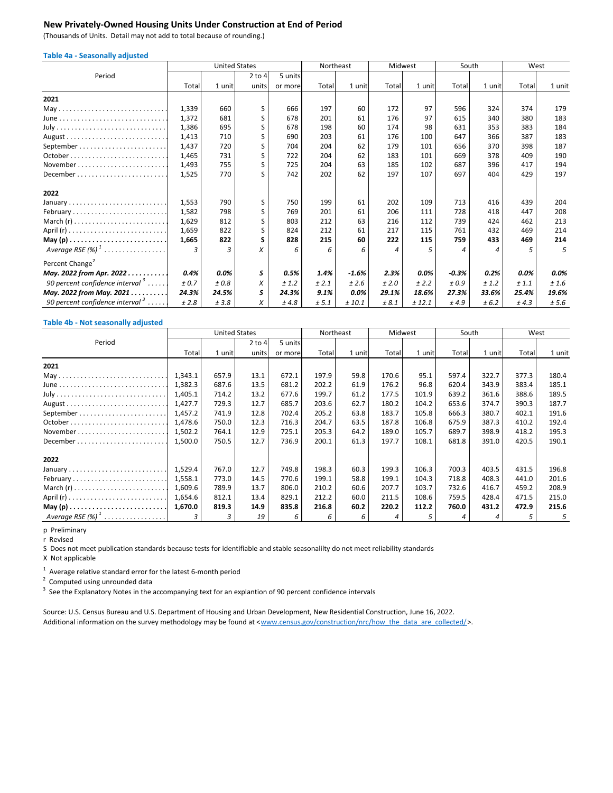### **New Privately‐Owned Housing Units Under Construction at End of Period**

(Thousands of Units. Detail may not add to total because of rounding.)

| <b>Table 4a - Seasonally adjusted</b>       |       |        |                      |         |           |         |         |        |         |        |       |        |
|---------------------------------------------|-------|--------|----------------------|---------|-----------|---------|---------|--------|---------|--------|-------|--------|
|                                             |       |        | <b>United States</b> |         | Northeast |         | Midwest |        | South   |        | West  |        |
| Period                                      |       |        | $2$ to 4             | 5 units |           |         |         |        |         |        |       |        |
|                                             | Total | 1 unit | units                | or more | Total     | 1 unit  | Total   | 1 unit | Total   | 1 unit | Total | 1 unit |
| 2021                                        |       |        |                      |         |           |         |         |        |         |        |       |        |
| May                                         | 1,339 | 660    | S                    | 666     | 197       | 60      | 172     | 97     | 596     | 324    | 374   | 179    |
|                                             | 1,372 | 681    | S                    | 678     | 201       | 61      | 176     | 97     | 615     | 340    | 380   | 183    |
|                                             | 1,386 | 695    | S                    | 678     | 198       | 60      | 174     | 98     | 631     | 353    | 383   | 184    |
|                                             | 1,413 | 710    | S                    | 690     | 203       | 61      | 176     | 100    | 647     | 366    | 387   | 183    |
|                                             | 1,437 | 720    | S                    | 704     | 204       | 62      | 179     | 101    | 656     | 370    | 398   | 187    |
|                                             | 1,465 | 731    | S                    | 722     | 204       | 62      | 183     | 101    | 669     | 378    | 409   | 190    |
| November                                    | 1,493 | 755    | S                    | 725     | 204       | 63      | 185     | 102    | 687     | 396    | 417   | 194    |
| December                                    | 1,525 | 770    | ς                    | 742     | 202       | 62      | 197     | 107    | 697     | 404    | 429   | 197    |
| 2022                                        |       |        |                      |         |           |         |         |        |         |        |       |        |
| January                                     | 1,553 | 790    | S                    | 750     | 199       | 61      | 202     | 109    | 713     | 416    | 439   | 204    |
| February                                    | 1,582 | 798    | S                    | 769     | 201       | 61      | 206     | 111    | 728     | 418    | 447   | 208    |
|                                             | 1,629 | 812    | S                    | 803     | 212       | 63      | 216     | 112    | 739     | 424    | 462   | 213    |
|                                             | 1,659 | 822    | S                    | 824     | 212       | 61      | 217     | 115    | 761     | 432    | 469   | 214    |
|                                             | 1,665 | 822    | s                    | 828     | 215       | 60      | 222     | 115    | 759     | 433    | 469   | 214    |
| Average RSE $(%)$ <sup>1</sup>              | 3     | 3      | x                    | 6       | 6         | 6       | 4       | 5      | Δ       | 4      | 5     | 5      |
| Percent Change <sup>2</sup>                 |       |        |                      |         |           |         |         |        |         |        |       |        |
| May. 2022 from Apr. 2022                    | 0.4%  | 0.0%   | S                    | 0.5%    | 1.4%      | $-1.6%$ | 2.3%    | 0.0%   | $-0.3%$ | 0.2%   | 0.0%  | 0.0%   |
| 90 percent confidence interval $3 \ldots$ . | ± 0.7 | ±0.8   | X                    | ±1.2    | ± 2.1     | ± 2.6   | ±2.0    | ± 2.2  | ±0.9    | ±1.2   | ± 1.1 | ±1.6   |
| May. 2022 from May. 2021                    | 24.3% | 24.5%  | S                    | 24.3%   | 9.1%      | 0.0%    | 29.1%   | 18.6%  | 27.3%   | 33.6%  | 25.4% | 19.6%  |
| 90 percent confidence interval $\beta$      | ±2.8  | ±3.8   | X                    | ±4.8    | ± 5.1     | ± 10.1  | ± 8.1   | ± 12.1 | ±4.9    | ± 6.2  | ± 4.3 | ± 5.6  |

#### **Table 4b ‐ Not seasonally adjusted**

|                                 | <b>United States</b> |        |            |         | Northeast |        | Midwest |        | South |        | West  |        |
|---------------------------------|----------------------|--------|------------|---------|-----------|--------|---------|--------|-------|--------|-------|--------|
| Period                          |                      |        | $2$ to $4$ | 5 units |           |        |         |        |       |        |       |        |
|                                 | Total                | 1 unit | units      | or more | Total     | 1 unit | Total   | 1 unit | Total | 1 unit | Total | 1 unit |
| 2021                            |                      |        |            |         |           |        |         |        |       |        |       |        |
| May                             | 1,343.1              | 657.9  | 13.1       | 672.1   | 197.9     | 59.8   | 170.6   | 95.1   | 597.4 | 322.7  | 377.3 | 180.4  |
|                                 | 1,382.3              | 687.6  | 13.5       | 681.2   | 202.2     | 61.9   | 176.2   | 96.8   | 620.4 | 343.9  | 383.4 | 185.1  |
|                                 | 1,405.1              | 714.2  | 13.2       | 677.6   | 199.7     | 61.2   | 177.5   | 101.9  | 639.2 | 361.6  | 388.6 | 189.5  |
|                                 | 1,427.7              | 729.3  | 12.7       | 685.7   | 203.6     | 62.7   | 180.2   | 104.2  | 653.6 | 374.7  | 390.3 | 187.7  |
|                                 | 1,457.2              | 741.9  | 12.8       | 702.4   | 205.2     | 63.8   | 183.7   | 105.8  | 666.3 | 380.7  | 402.1 | 191.6  |
|                                 | 1,478.6              | 750.0  | 12.3       | 716.3   | 204.7     | 63.5   | 187.8   | 106.8  | 675.9 | 387.3  | 410.2 | 192.4  |
|                                 | 1,502.2              | 764.1  | 12.9       | 725.1   | 205.3     | 64.2   | 189.0   | 105.7  | 689.7 | 398.9  | 418.2 | 195.3  |
| December                        | 1,500.0              | 750.5  | 12.7       | 736.9   | 200.1     | 61.3   | 197.7   | 108.1  | 681.8 | 391.0  | 420.5 | 190.1  |
| 2022                            |                      |        |            |         |           |        |         |        |       |        |       |        |
| January                         | 1,529.4              | 767.0  | 12.7       | 749.8   | 198.3     | 60.3   | 199.3   | 106.3  | 700.3 | 403.5  | 431.5 | 196.8  |
| February                        | 1,558.1              | 773.0  | 14.5       | 770.6   | 199.1     | 58.8   | 199.1   | 104.3  | 718.8 | 408.3  | 441.0 | 201.6  |
| March $(r)$                     | 1,609.6              | 789.9  | 13.7       | 806.0   | 210.2     | 60.6   | 207.7   | 103.7  | 732.6 | 416.7  | 459.2 | 208.9  |
|                                 | 1,654.6              | 812.1  | 13.4       | 829.1   | 212.2     | 60.0   | 211.5   | 108.6  | 759.5 | 428.4  | 471.5 | 215.0  |
|                                 | 1,670.0              | 819.3  | 14.9       | 835.8   | 216.8     | 60.2   | 220.2   | 112.2  | 760.0 | 431.2  | 472.9 | 215.6  |
| Average RSE $(\%)$ <sup>1</sup> |                      | 3      | 19         | 6       | 6         | 6      | 4       |        |       | 4      |       | 5      |

p Preliminary

r Revised

S Does not meet publication standards because tests for identifiable and stable seasonalilty do not meet reliability standards

X Not applicable

 $1$  Average relative standard error for the latest 6-month period

 $2$  Computed using unrounded data

 $3$  See the Explanatory Notes in the accompanying text for an explantion of 90 percent confidence intervals